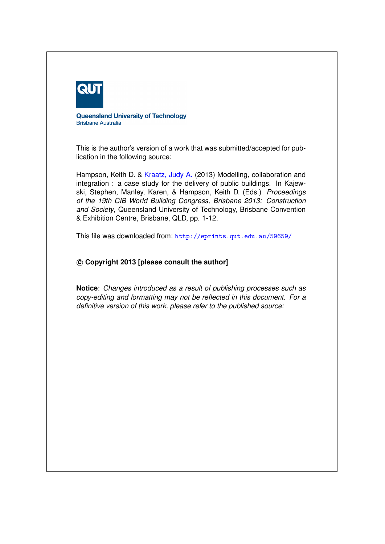

**Queensland University of Technology Brisbane Australia** 

This is the author's version of a work that was submitted/accepted for publication in the following source:

Hampson, Keith D. & [Kraatz, Judy A.](http://eprints.qut.edu.au/view/person/Kraatz,_Judy.html) (2013) Modelling, collaboration and integration : a case study for the delivery of public buildings. In Kajewski, Stephen, Manley, Karen, & Hampson, Keith D. (Eds.) *Proceedings of the 19th CIB World Building Congress, Brisbane 2013: Construction and Society*, Queensland University of Technology, Brisbane Convention & Exhibition Centre, Brisbane, QLD, pp. 1-12.

This file was downloaded from: <http://eprints.qut.edu.au/59659/>

#### **c Copyright 2013 [please consult the author]**

**Notice**: *Changes introduced as a result of publishing processes such as copy-editing and formatting may not be reflected in this document. For a definitive version of this work, please refer to the published source:*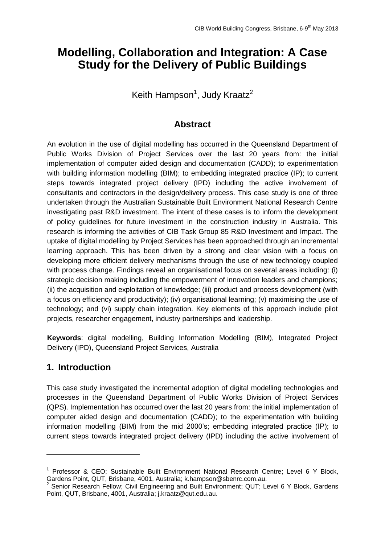# **Modelling, Collaboration and Integration: A Case Study for the Delivery of Public Buildings**

Keith Hampson<sup>1</sup>, Judy Kraatz<sup>2</sup>

### **Abstract**

An evolution in the use of digital modelling has occurred in the Queensland Department of Public Works Division of Project Services over the last 20 years from: the initial implementation of computer aided design and documentation (CADD); to experimentation with building information modelling (BIM); to embedding integrated practice (IP); to current steps towards integrated project delivery (IPD) including the active involvement of consultants and contractors in the design/delivery process. This case study is one of three undertaken through the Australian Sustainable Built Environment National Research Centre investigating past R&D investment. The intent of these cases is to inform the development of policy guidelines for future investment in the construction industry in Australia. This research is informing the activities of CIB Task Group 85 R&D Investment and Impact. The uptake of digital modelling by Project Services has been approached through an incremental learning approach. This has been driven by a strong and clear vision with a focus on developing more efficient delivery mechanisms through the use of new technology coupled with process change. Findings reveal an organisational focus on several areas including: (i) strategic decision making including the empowerment of innovation leaders and champions; (ii) the acquisition and exploitation of knowledge; (iii) product and process development (with a focus on efficiency and productivity); (iv) organisational learning; (v) maximising the use of technology; and (vi) supply chain integration. Key elements of this approach include pilot projects, researcher engagement, industry partnerships and leadership.

**Keywords**: digital modelling, Building Information Modelling (BIM), Integrated Project Delivery (IPD), Queensland Project Services, Australia

## **1. Introduction**

-

This case study investigated the incremental adoption of digital modelling technologies and processes in the Queensland Department of Public Works Division of Project Services (QPS). Implementation has occurred over the last 20 years from: the initial implementation of computer aided design and documentation (CADD); to the experimentation with building information modelling (BIM) from the mid 2000's; embedding integrated practice (IP); to current steps towards integrated project delivery (IPD) including the active involvement of

<sup>&</sup>lt;sup>1</sup> Professor & CEO; Sustainable Built Environment National Research Centre; Level 6 Y Block, Gardens Point, QUT, Brisbane, 4001, Australia; k.hampson@sbenrc.com.au.

<sup>&</sup>lt;sup>2</sup> Senior Research Fellow; Civil Engineering and Built Environment; QUT; Level 6 Y Block, Gardens Point, QUT, Brisbane, 4001, Australia; j.kraatz@qut.edu.au.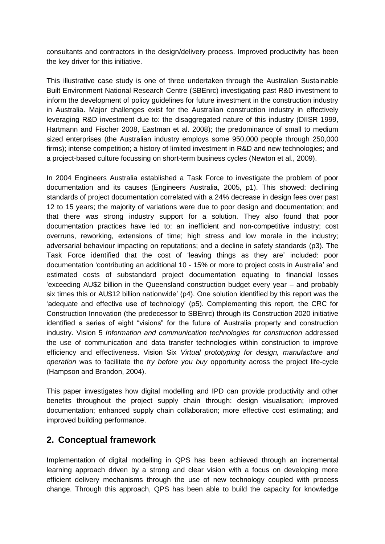consultants and contractors in the design/delivery process. Improved productivity has been the key driver for this initiative.

This illustrative case study is one of three undertaken through the Australian Sustainable Built Environment National Research Centre (SBEnrc) investigating past R&D investment to inform the development of policy guidelines for future investment in the construction industry in Australia. Major challenges exist for the Australian construction industry in effectively leveraging R&D investment due to: the disaggregated nature of this industry (DIISR 1999, Hartmann and Fischer 2008, Eastman et al. 2008); the predominance of small to medium sized enterprises (the Australian industry employs some 950,000 people through 250,000 firms); intense competition; a history of limited investment in R&D and new technologies; and a project-based culture focussing on short-term business cycles (Newton et al., 2009).

In 2004 Engineers Australia established a Task Force to investigate the problem of poor documentation and its causes (Engineers Australia, 2005, p1). This showed: declining standards of project documentation correlated with a 24% decrease in design fees over past 12 to 15 years; the majority of variations were due to poor design and documentation; and that there was strong industry support for a solution. They also found that poor documentation practices have led to: an inefficient and non-competitive industry; cost overruns, reworking, extensions of time; high stress and low morale in the industry; adversarial behaviour impacting on reputations; and a decline in safety standards (p3). The Task Force identified that the cost of 'leaving things as they are' included: poor documentation 'contributing an additional 10 - 15% or more to project costs in Australia' and estimated costs of substandard project documentation equating to financial losses 'exceeding AU\$2 billion in the Queensland construction budget every year – and probably six times this or AU\$12 billion nationwide' (p4). One solution identified by this report was the 'adequate and effective use of technology' (p5). Complementing this report, the CRC for Construction Innovation (the predecessor to SBEnrc) through its Construction 2020 initiative identified a series of eight "visions" for the future of Australia property and construction industry. Vision 5 *Information and communication technologies for construction* addressed the use of communication and data transfer technologies within construction to improve efficiency and effectiveness. Vision Six *Virtual prototyping for design, manufacture and operation* was to facilitate the *try before you buy* opportunity across the project life-cycle (Hampson and Brandon, 2004).

This paper investigates how digital modelling and IPD can provide productivity and other benefits throughout the project supply chain through: design visualisation; improved documentation; enhanced supply chain collaboration; more effective cost estimating; and improved building performance.

### **2. Conceptual framework**

Implementation of digital modelling in QPS has been achieved through an incremental learning approach driven by a strong and clear vision with a focus on developing more efficient delivery mechanisms through the use of new technology coupled with process change. Through this approach, QPS has been able to build the capacity for knowledge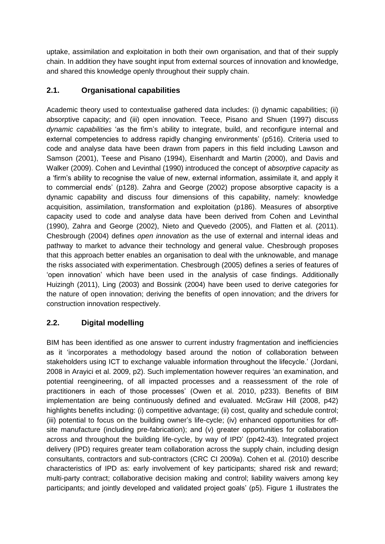uptake, assimilation and exploitation in both their own organisation, and that of their supply chain. In addition they have sought input from external sources of innovation and knowledge, and shared this knowledge openly throughout their supply chain.

### **2.1. Organisational capabilities**

Academic theory used to contextualise gathered data includes: (i) dynamic capabilities; (ii) absorptive capacity; and (iii) open innovation. Teece, Pisano and Shuen (1997) discuss *dynamic capabilities* 'as the firm's ability to integrate, build, and reconfigure internal and external competencies to address rapidly changing environments' (p516). Criteria used to code and analyse data have been drawn from papers in this field including Lawson and Samson (2001), Teese and Pisano (1994), Eisenhardt and Martin (2000), and Davis and Walker (2009). Cohen and Levinthal (1990) introduced the concept of *absorptive capacity* as a 'firm's ability to recognise the value of new, external information, assimilate it, and apply it to commercial ends' (p128). Zahra and George (2002) propose absorptive capacity is a dynamic capability and discuss four dimensions of this capability, namely: knowledge acquisition, assimilation, transformation and exploitation (p186). Measures of absorptive capacity used to code and analyse data have been derived from Cohen and Levinthal (1990), Zahra and George (2002), Nieto and Quevedo (2005), and Flatten et al. (2011). Chesbrough (2004) defines *open innovation* as the use of external and internal ideas and pathway to market to advance their technology and general value. Chesbrough proposes that this approach better enables an organisation to deal with the unknowable, and manage the risks associated with experimentation. Chesbrough (2005) defines a series of features of 'open innovation' which have been used in the analysis of case findings. Additionally Huizingh (2011), Ling (2003) and Bossink (2004) have been used to derive categories for the nature of open innovation; deriving the benefits of open innovation; and the drivers for construction innovation respectively.

### **2.2. Digital modelling**

BIM has been identified as one answer to current industry fragmentation and inefficiencies as it 'incorporates a methodology based around the notion of collaboration between stakeholders using ICT to exchange valuable information throughout the lifecycle.' (Jordani, 2008 in Arayici et al. 2009, p2). Such implementation however requires 'an examination, and potential reengineering, of all impacted processes and a reassessment of the role of practitioners in each of those processes' (Owen et al. 2010, p233). Benefits of BIM implementation are being continuously defined and evaluated. McGraw Hill (2008, p42) highlights benefits including: (i) competitive advantage; (ii) cost, quality and schedule control; (iii) potential to focus on the building owner's life-cycle; (iv) enhanced opportunities for offsite manufacture (including pre-fabrication); and (v) greater opportunities for collaboration across and throughout the building life-cycle, by way of IPD' (pp42-43). Integrated project delivery (IPD) requires greater team collaboration across the supply chain, including design consultants, contractors and sub-contractors (CRC CI 2009a). Cohen et al. (2010) describe characteristics of IPD as: early involvement of key participants; shared risk and reward; multi-party contract; collaborative decision making and control; liability waivers among key participants; and jointly developed and validated project goals' (p5). Figure 1 illustrates the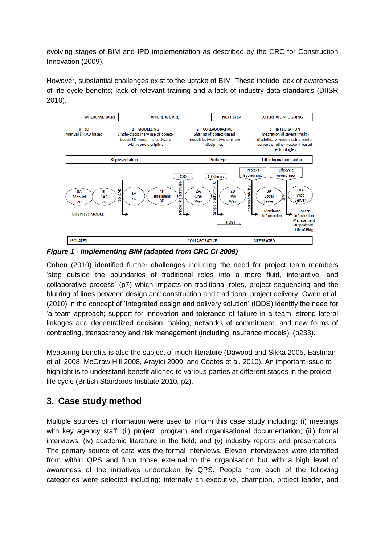evolving stages of BIM and IPD implementation as described by the CRC for Construction Innovation (2009).

However, substantial challenges exist to the uptake of BIM. These include lack of awareness of life cycle benefits; lack of relevant training and a lack of industry data standards (DIISR 2010).



*Figure 1 - Implementing BIM (adapted from CRC CI 2009)*

Cohen (2010) identified further challenges including the need for project team members 'step outside the boundaries of traditional roles into a more fluid, interactive, and collaborative process' (p7) which impacts on traditional roles, project sequencing and the blurring of lines between design and construction and traditional project delivery. Owen et al. (2010) in the concept of 'Integrated design and delivery solution' (IDDS) identify the need for 'a team approach; support for innovation and tolerance of failure in a team; strong lateral linkages and decentralized decision making; networks of commitment; and new forms of contracting, transparency and risk management (including insurance models)' (p233).

Measuring benefits is also the subject of much literature (Dawood and Sikka 2005, Eastman et al. 2008, McGraw Hill 2008, Arayici 2009, and Coates et al. 2010). An important issue to highlight is to understand benefit aligned to various parties at different stages in the project life cycle (British Standards Institute 2010, p2).

# **3. Case study method**

Multiple sources of information were used to inform this case study including: (i) meetings with key agency staff; (ii) project, program and organisational documentation; (iii) formal interviews; (iv) academic literature in the field; and (v) industry reports and presentations. The primary source of data was the formal interviews. Eleven interviewees were identified from within QPS and from those external to the organisation but with a high level of awareness of the initiatives undertaken by QPS. People from each of the following categories were selected including: internally an executive, champion, project leader, and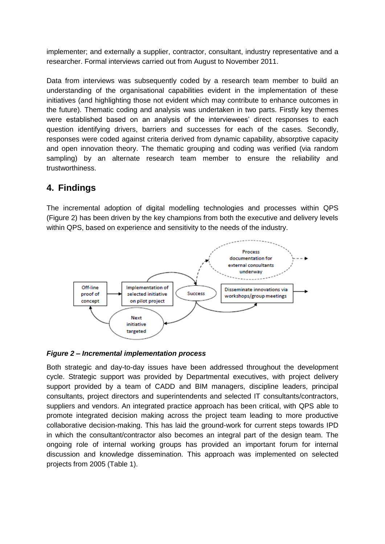implementer; and externally a supplier, contractor, consultant, industry representative and a researcher. Formal interviews carried out from August to November 2011.

Data from interviews was subsequently coded by a research team member to build an understanding of the organisational capabilities evident in the implementation of these initiatives (and highlighting those not evident which may contribute to enhance outcomes in the future). Thematic coding and analysis was undertaken in two parts. Firstly key themes were established based on an analysis of the interviewees' direct responses to each question identifying drivers, barriers and successes for each of the cases. Secondly, responses were coded against criteria derived from dynamic capability, absorptive capacity and open innovation theory. The thematic grouping and coding was verified (via random sampling) by an alternate research team member to ensure the reliability and trustworthiness.

## **4. Findings**

The incremental adoption of digital modelling technologies and processes within QPS (Figure 2) has been driven by the key champions from both the executive and delivery levels within QPS, based on experience and sensitivity to the needs of the industry.





Both strategic and day-to-day issues have been addressed throughout the development cycle. Strategic support was provided by Departmental executives, with project delivery support provided by a team of CADD and BIM managers, discipline leaders, principal consultants, project directors and superintendents and selected IT consultants/contractors, suppliers and vendors. An integrated practice approach has been critical, with QPS able to promote integrated decision making across the project team leading to more productive collaborative decision-making. This has laid the ground-work for current steps towards IPD in which the consultant/contractor also becomes an integral part of the design team. The ongoing role of internal working groups has provided an important forum for internal discussion and knowledge dissemination. This approach was implemented on selected projects from 2005 (Table 1).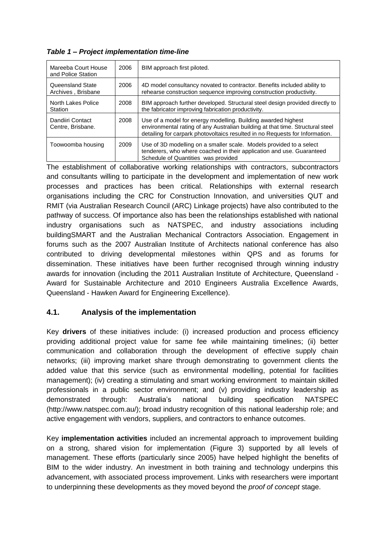| Mareeba Court House<br>and Police Station | 2006 | BIM approach first piloted.                                                                                                                                                                                                     |
|-------------------------------------------|------|---------------------------------------------------------------------------------------------------------------------------------------------------------------------------------------------------------------------------------|
| Queensland State<br>Archives, Brisbane    | 2006 | 4D model consultancy novated to contractor. Benefits included ability to<br>rehearse construction sequence improving construction productivity.                                                                                 |
| North Lakes Police<br>Station             | 2008 | BIM approach further developed. Structural steel design provided directly to<br>the fabricator improving fabrication productivity.                                                                                              |
| Dandiiri Contact<br>Centre, Brisbane.     | 2008 | Use of a model for energy modelling. Building awarded highest<br>environmental rating of any Australian building at that time. Structural steel<br>detailing for carpark photovoltaics resulted in no Requests for Information. |
| Toowoomba housing                         | 2009 | Use of 3D modelling on a smaller scale. Models provided to a select<br>tenderers, who where coached in their application and use. Guaranteed<br>Schedule of Quantities was provided                                             |

*Table 1 – Project implementation time-line*

The establishment of collaborative working relationships with contractors, subcontractors and consultants willing to participate in the development and implementation of new work processes and practices has been critical. Relationships with external research organisations including the CRC for Construction Innovation, and universities QUT and RMIT (via Australian Research Council (ARC) Linkage projects) have also contributed to the pathway of success. Of importance also has been the relationships established with national industry organisations such as NATSPEC, and industry associations including buildingSMART and the Australian Mechanical Contractors Association. Engagement in forums such as the 2007 Australian Institute of Architects national conference has also contributed to driving developmental milestones within QPS and as forums for dissemination. These initiatives have been further recognised through winning industry awards for innovation (including the 2011 Australian Institute of Architecture, Queensland - Award for Sustainable Architecture and 2010 Engineers Australia Excellence Awards, Queensland - Hawken Award for Engineering Excellence).

#### **4.1. Analysis of the implementation**

Key **drivers** of these initiatives include: (i) increased production and process efficiency providing additional project value for same fee while maintaining timelines; (ii) better communication and collaboration through the development of effective supply chain networks; (iii) improving market share through demonstrating to government clients the added value that this service (such as environmental modelling, potential for facilities management); (iv) creating a stimulating and smart working environment to maintain skilled professionals in a public sector environment; and (v) providing industry leadership as demonstrated through: Australia's national building specification NATSPEC (http://www.natspec.com.au/); broad industry recognition of this national leadership role; and active engagement with vendors, suppliers, and contractors to enhance outcomes.

Key **implementation activities** included an incremental approach to improvement building on a strong, shared vision for implementation (Figure 3) supported by all levels of management. These efforts (particularly since 2005) have helped highlight the benefits of BIM to the wider industry. An investment in both training and technology underpins this advancement, with associated process improvement. Links with researchers were important to underpinning these developments as they moved beyond the *proof of concept* stage.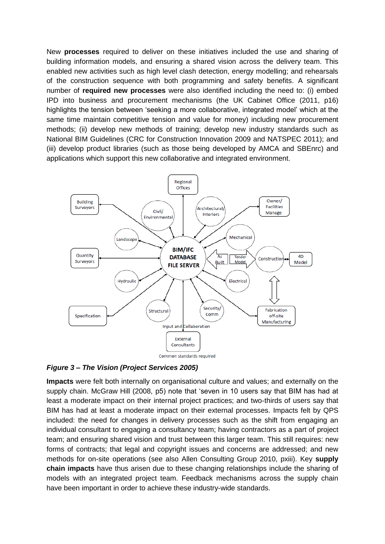New **processes** required to deliver on these initiatives included the use and sharing of building information models, and ensuring a shared vision across the delivery team. This enabled new activities such as high level clash detection, energy modelling; and rehearsals of the construction sequence with both programming and safety benefits. A significant number of **required new processes** were also identified including the need to: (i) embed IPD into business and procurement mechanisms (the UK Cabinet Office (2011, p16) highlights the tension between 'seeking a more collaborative, integrated model' which at the same time maintain competitive tension and value for money) including new procurement methods; (ii) develop new methods of training; develop new industry standards such as National BIM Guidelines (CRC for Construction Innovation 2009 and NATSPEC 2011); and (iii) develop product libraries (such as those being developed by AMCA and SBEnrc) and applications which support this new collaborative and integrated environment.



#### *Figure 3 – The Vision (Project Services 2005)*

**Impacts** were felt both internally on organisational culture and values; and externally on the supply chain. McGraw Hill (2008, p5) note that 'seven in 10 users say that BIM has had at least a moderate impact on their internal project practices; and two-thirds of users say that BIM has had at least a moderate impact on their external processes. Impacts felt by QPS included: the need for changes in delivery processes such as the shift from engaging an individual consultant to engaging a consultancy team; having contractors as a part of project team; and ensuring shared vision and trust between this larger team. This still requires: new forms of contracts; that legal and copyright issues and concerns are addressed; and new methods for on-site operations (see also Allen Consulting Group 2010, pxiii). Key **supply chain impacts** have thus arisen due to these changing relationships include the sharing of models with an integrated project team. Feedback mechanisms across the supply chain have been important in order to achieve these industry-wide standards.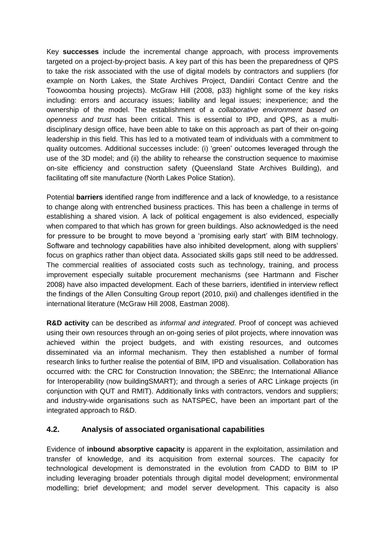Key **successes** include the incremental change approach, with process improvements targeted on a project-by-project basis. A key part of this has been the preparedness of QPS to take the risk associated with the use of digital models by contractors and suppliers (for example on North Lakes, the State Archives Project, Dandiiri Contact Centre and the Toowoomba housing projects). McGraw Hill (2008, p33) highlight some of the key risks including: errors and accuracy issues; liability and legal issues; inexperience; and the ownership of the model. The establishment of a *collaborative environment based on openness and trust* has been critical. This is essential to IPD, and QPS, as a multidisciplinary design office, have been able to take on this approach as part of their on-going leadership in this field. This has led to a motivated team of individuals with a commitment to quality outcomes. Additional successes include: (i) 'green' outcomes leveraged through the use of the 3D model; and (ii) the ability to rehearse the construction sequence to maximise on-site efficiency and construction safety (Queensland State Archives Building), and facilitating off site manufacture (North Lakes Police Station).

Potential **barriers** identified range from indifference and a lack of knowledge, to a resistance to change along with entrenched business practices. This has been a challenge in terms of establishing a shared vision. A lack of political engagement is also evidenced, especially when compared to that which has grown for green buildings. Also acknowledged is the need for pressure to be brought to move beyond a 'promising early start' with BIM technology. Software and technology capabilities have also inhibited development, along with suppliers' focus on graphics rather than object data. Associated skills gaps still need to be addressed. The commercial realities of associated costs such as technology, training, and process improvement especially suitable procurement mechanisms (see Hartmann and Fischer 2008) have also impacted development. Each of these barriers, identified in interview reflect the findings of the Allen Consulting Group report (2010, pxii) and challenges identified in the international literature (McGraw Hill 2008, Eastman 2008).

**R&D activity** can be described as *informal and integrated*. Proof of concept was achieved using their own resources through an on-going series of pilot projects, where innovation was achieved within the project budgets, and with existing resources, and outcomes disseminated via an informal mechanism. They then established a number of formal research links to further realise the potential of BIM, IPD and visualisation. Collaboration has occurred with: the CRC for Construction Innovation; the SBEnrc; the International Alliance for Interoperability (now buildingSMART); and through a series of ARC Linkage projects (in conjunction with QUT and RMIT). Additionally links with contractors, vendors and suppliers; and industry-wide organisations such as NATSPEC, have been an important part of the integrated approach to R&D.

#### **4.2. Analysis of associated organisational capabilities**

Evidence of **inbound absorptive capacity** is apparent in the exploitation, assimilation and transfer of knowledge, and its acquisition from external sources. The capacity for technological development is demonstrated in the evolution from CADD to BIM to IP including leveraging broader potentials through digital model development; environmental modelling; brief development; and model server development. This capacity is also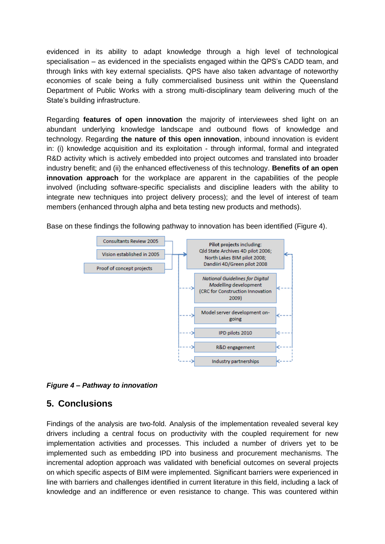evidenced in its ability to adapt knowledge through a high level of technological specialisation – as evidenced in the specialists engaged within the QPS's CADD team, and through links with key external specialists. QPS have also taken advantage of noteworthy economies of scale being a fully commercialised business unit within the Queensland Department of Public Works with a strong multi-disciplinary team delivering much of the State's building infrastructure.

Regarding **features of open innovation** the majority of interviewees shed light on an abundant underlying knowledge landscape and outbound flows of knowledge and technology. Regarding **the nature of this open innovation**, inbound innovation is evident in: (i) knowledge acquisition and its exploitation - through informal, formal and integrated R&D activity which is actively embedded into project outcomes and translated into broader industry benefit; and (ii) the enhanced effectiveness of this technology. **Benefits of an open innovation approach** for the workplace are apparent in the capabilities of the people involved (including software-specific specialists and discipline leaders with the ability to integrate new techniques into project delivery process); and the level of interest of team members (enhanced through alpha and beta testing new products and methods).



R&D engagement

Industry partnerships

Base on these findings the following pathway to innovation has been identified (Figure 4).

*Figure 4 – Pathway to innovation*

### **5. Conclusions**

Findings of the analysis are two-fold. Analysis of the implementation revealed several key drivers including a central focus on productivity with the coupled requirement for new implementation activities and processes. This included a number of drivers yet to be implemented such as embedding IPD into business and procurement mechanisms. The incremental adoption approach was validated with beneficial outcomes on several projects on which specific aspects of BIM were implemented. Significant barriers were experienced in line with barriers and challenges identified in current literature in this field, including a lack of knowledge and an indifference or even resistance to change. This was countered within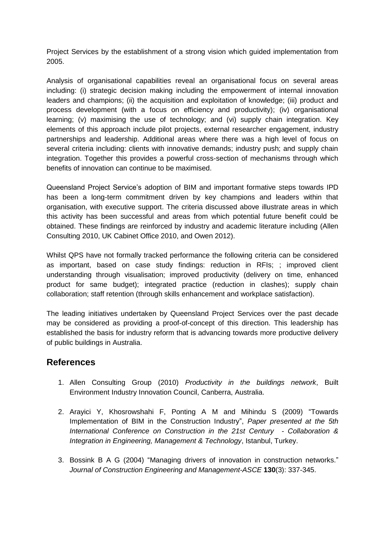Project Services by the establishment of a strong vision which guided implementation from 2005.

Analysis of organisational capabilities reveal an organisational focus on several areas including: (i) strategic decision making including the empowerment of internal innovation leaders and champions; (ii) the acquisition and exploitation of knowledge; (iii) product and process development (with a focus on efficiency and productivity); (iv) organisational learning; (v) maximising the use of technology; and (vi) supply chain integration. Key elements of this approach include pilot projects, external researcher engagement, industry partnerships and leadership. Additional areas where there was a high level of focus on several criteria including: clients with innovative demands; industry push; and supply chain integration. Together this provides a powerful cross-section of mechanisms through which benefits of innovation can continue to be maximised.

Queensland Project Service's adoption of BIM and important formative steps towards IPD has been a long-term commitment driven by key champions and leaders within that organisation, with executive support. The criteria discussed above illustrate areas in which this activity has been successful and areas from which potential future benefit could be obtained. These findings are reinforced by industry and academic literature including (Allen Consulting 2010, UK Cabinet Office 2010, and Owen 2012).

Whilst QPS have not formally tracked performance the following criteria can be considered as important, based on case study findings: reduction in RFIs; ; improved client understanding through visualisation; improved productivity (delivery on time, enhanced product for same budget); integrated practice (reduction in clashes); supply chain collaboration; staff retention (through skills enhancement and workplace satisfaction).

The leading initiatives undertaken by Queensland Project Services over the past decade may be considered as providing a proof-of-concept of this direction. This leadership has established the basis for industry reform that is advancing towards more productive delivery of public buildings in Australia.

### **References**

- 1. Allen Consulting Group (2010) *Productivity in the buildings network*, Built Environment Industry Innovation Council, Canberra, Australia.
- 2. Arayici Y, Khosrowshahi F, Ponting A M and Mihindu S (2009) "Towards Implementation of BIM in the Construction Industry", *Paper presented at the 5th International Conference on Construction in the 21st Century - Collaboration & Integration in Engineering, Management & Technology*, Istanbul, Turkey.
- 3. Bossink B A G (2004) "Managing drivers of innovation in construction networks." *Journal of Construction Engineering and Management-ASCE* **130**(3): 337-345.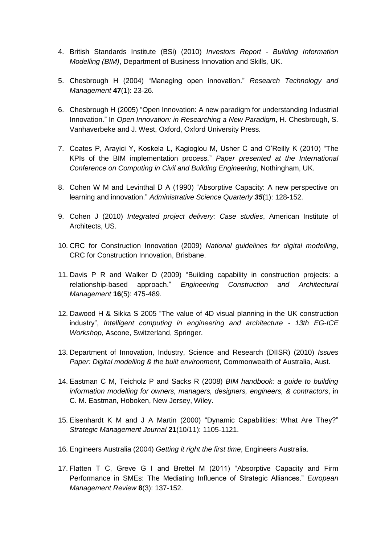- 4. British Standards Institute (BSi) (2010) *Investors Report - Building Information Modelling (BIM)*, Department of Business Innovation and Skills*,* UK.
- 5. Chesbrough H (2004) "Managing open innovation." *Research Technology and Management* **47**(1): 23-26.
- 6. Chesbrough H (2005) "Open Innovation: A new paradigm for understanding Industrial Innovation." In *Open Innovation: in Researching a New Paradigm*, H. Chesbrough, S. Vanhaverbeke and J. West, Oxford, Oxford University Press.
- 7. Coates P, Arayici Y, Koskela L, Kagioglou M, Usher C and O'Reilly K (2010) "The KPIs of the BIM implementation process." *Paper presented at the International Conference on Computing in Civil and Building Engineering*, Nothingham, UK.
- 8. Cohen W M and Levinthal D A (1990) "Absorptive Capacity: A new perspective on learning and innovation." *Administrative Science Quarterly 35*(1): 128-152.
- 9. Cohen J (2010) *Integrated project delivery: Case studies*, American Institute of Architects, US.
- 10. CRC for Construction Innovation (2009) *National guidelines for digital modelling*, CRC for Construction Innovation, Brisbane.
- 11. Davis P R and Walker D (2009) "Building capability in construction projects: a relationship-based approach." *Engineering Construction and Architectural Management* **16**(5): 475-489.
- 12. Dawood H & Sikka S 2005 "The value of 4D visual planning in the UK construction industry", *Intelligent computing in engineering and architecture - 13th EG-ICE Workshop,* Ascone, Switzerland, Springer.
- 13. Department of Innovation, Industry, Science and Research (DIISR) (2010) *Issues Paper: Digital modelling & the built environment*, Commonwealth of Australia, Aust.
- 14. Eastman C M, Teicholz P and Sacks R (2008) *BIM handbook: a guide to building information modelling for owners, managers, designers, engineers, & contractors*, in C. M. Eastman, Hoboken, New Jersey, Wiley.
- 15. Eisenhardt K M and J A Martin (2000) "Dynamic Capabilities: What Are They?" *Strategic Management Journal* **21**(10/11): 1105-1121.
- 16. Engineers Australia (2004) *Getting it right the first time*, Engineers Australia.
- 17. Flatten T C, Greve G I and Brettel M (2011) "Absorptive Capacity and Firm Performance in SMEs: The Mediating Influence of Strategic Alliances." *European Management Review* **8**(3): 137-152.